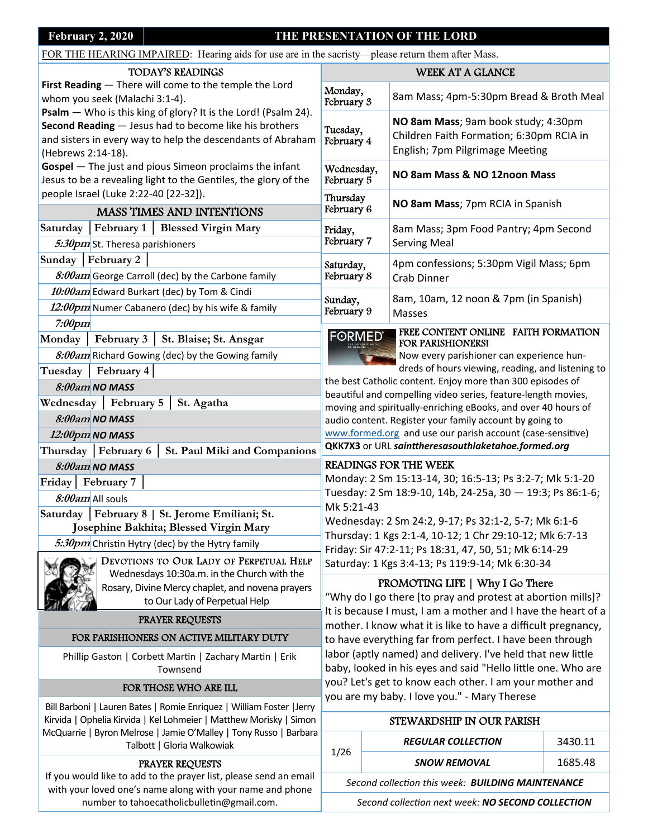## **February 2, 2020 THE PRESENTATION OF THE LORD**

FOR THE HEARING IMPAIRED: Hearing aids for use are in the sacristy—please return them after Mass.

#### TODAY'S READINGS

**First Reading** — There will come to the temple the Lord whom you seek (Malachi 3:1‐4).

**Psalm** — Who is this king of glory? It is the Lord! (Psalm 24). **Second Reading** — Jesus had to become like his brothers and sisters in every way to help the descendants of Abraham (Hebrews 2:14‐18).

**Gospel** — The just and pious Simeon proclaims the infant Jesus to be a revealing light to the Gentiles, the glory of the people Israel (Luke 2:22‐40 [22‐32]).

# MASS TIMES AND INTENTIONS

**Saturday │February 1 │ Blessed Virgin Mary**  5:30pm St. Theresa parishioners

## **Sunday │February 2 │**

8:00am George Carroll (dec) by the Carbone family **10:00am** Edward Burkart (dec) by Tom & Cindi 12:00pm Numer Cabanero (dec) by his wife & family

**7:00pm** 

**Monday │ February 3 │ St. Blaise; St. Ansgar** 

8:00am Richard Gowing (dec) by the Gowing family

**Tuesday │ February 4│**

**8:00am** *NO MASS* 

**Wednesday │ February 5 │ St. Agatha** 

**8:00am** *NO MASS* 

**12:00pm** *NO MASS*  **Thursday │February 6 │ St. Paul Miki and Companions** 

**8:00am** *NO MASS* 

**Friday│ February 7 │**

**8:00am** All souls

**Saturday │February 8 | St. Jerome Emiliani; St. Josephine Bakhita; Blessed Virgin Mary** 

5:30pm Christin Hytry (dec) by the Hytry family

DEVOTIONS TO OUR LADY OF PERPETUAL HELP Wednesdays 10:30a.m. in the Church with the Rosary, Divine Mercy chaplet, and novena prayers to Our Lady of Perpetual Help

## PRAYER REQUESTS

## FOR PARISHIONERS ON ACTIVE MILITARY DUTY

Phillip Gaston | Corbett Martin | Zachary Martin | Erik Townsend

#### FOR THOSE WHO ARE ILL

Bill Barboni | Lauren Bates | Romie Enriquez | William Foster |Jerry Kirvida | Ophelia Kirvida | Kel Lohmeier | Matthew Morisky | Simon McQuarrie | Byron Melrose | Jamie O'Malley | Tony Russo | Barbara Talbott | Gloria Walkowiak

#### PRAYER REQUESTS

If you would like to add to the prayer list, please send an email with your loved one's name along with your name and phone number to tahoecatholicbulletin@gmail.com.

| WEEK AT A GLANCE         |                                                                                                                    |  |  |
|--------------------------|--------------------------------------------------------------------------------------------------------------------|--|--|
| Monday,<br>February 3    | 8am Mass; 4pm-5:30pm Bread & Broth Meal                                                                            |  |  |
| Tuesday,<br>February 4   | NO 8am Mass; 9am book study; 4:30pm<br>Children Faith Formation; 6:30pm RCIA in<br>English; 7pm Pilgrimage Meeting |  |  |
| Wednesday,<br>February 5 | NO 8am Mass & NO 12noon Mass                                                                                       |  |  |
| Thursday<br>February 6   | NO 8am Mass; 7pm RCIA in Spanish                                                                                   |  |  |
| Friday,<br>February 7    | 8am Mass; 3pm Food Pantry; 4pm Second<br><b>Serving Meal</b>                                                       |  |  |
| Saturday,<br>February 8  | 4pm confessions; 5:30pm Vigil Mass; 6pm<br>Crab Dinner                                                             |  |  |
| Sunday,<br>February 9    | 8am, 10am, 12 noon & 7pm (in Spanish)<br>Masses                                                                    |  |  |



FREE CONTENT ONLINE FAITH FORMATION FOR PARISHIONERS!

 dreds of hours viewing, reading, and listening to Now every parishioner can experience hun‐

the best Catholic content. Enjoy more than 300 episodes of beautiful and compelling video series, feature-length movies, moving and spiritually‐enriching eBooks, and over 40 hours of audio content. Register your family account by going to www.formed.org and use our parish account (case-sensitive) **QKK7X3** or URL *sainƩheresasouthlaketahoe.formed.org*

## READINGS FOR THE WEEK

Monday: 2 Sm 15:13‐14, 30; 16:5‐13; Ps 3:2‐7; Mk 5:1‐20 Tuesday: 2 Sm 18:9‐10, 14b, 24‐25a, 30 — 19:3; Ps 86:1‐6; Mk 5:21‐43

Wednesday: 2 Sm 24:2, 9‐17; Ps 32:1‐2, 5‐7; Mk 6:1‐6 Thursday: 1 Kgs 2:1‐4, 10‐12; 1 Chr 29:10‐12; Mk 6:7‐13 Friday: Sir 47:2‐11; Ps 18:31, 47, 50, 51; Mk 6:14‐29 Saturday: 1 Kgs 3:4‐13; Ps 119:9‐14; Mk 6:30‐34

# PROMOTING LIFE | Why I Go There

"Why do I go there [to pray and protest at abortion mills]? It is because I must, I am a mother and I have the heart of a mother. I know what it is like to have a difficult pregnancy, to have everything far from perfect. I have been through labor (aptly named) and delivery. I've held that new little baby, looked in his eyes and said "Hello little one. Who are you? Let's get to know each other. I am your mother and you are my baby. I love you." ‐ Mary Therese

## STEWARDSHIP IN OUR PARISH

|      | <b>REGULAR COLLECTION</b> | 3430.11 |
|------|---------------------------|---------|
| 1/26 | <b>SNOW REMOVAL</b>       | 1685.48 |
|      | .                         |         |

*Second collecƟon this week: BUILDING MAINTENANCE* 

*Second collecƟon next week: NO SECOND COLLECTION*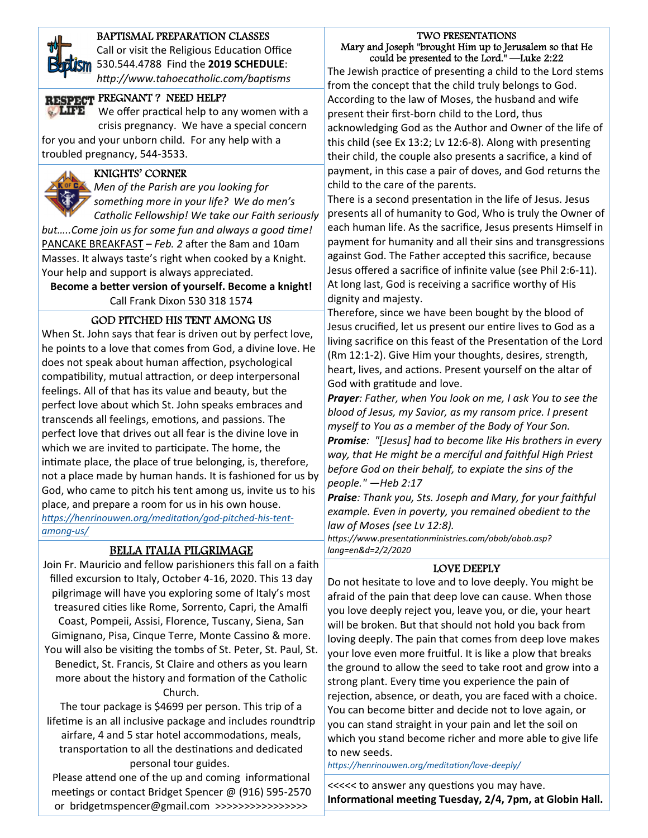

#### BAPTISMAL PREPARATION CLASSES

 *hƩp://www.tahoecatholic.com/bapƟsms* Call or visit the Religious Education Office 530.544.4788 Find the **2019 SCHEDULE**:

# RESPECT PREGNANT? NEED HELP?

 crisis pregnancy. We have a special concern We offer practical help to any women with a

for you and your unborn child. For any help with a troubled pregnancy, 544‐3533.

#### KNIGHTS' CORNER

 *Catholic Fellowship! We take our Faith seriously Men of the Parish are you looking for something more in your life? We do men's* 

*but.....Come join us for some fun and always a good time!* PANCAKE BREAKFAST - Feb. 2 after the 8am and 10am Masses. It always taste's right when cooked by a Knight. Your help and support is always appreciated.

**Become a beƩer version of yourself. Become a knight!** Call Frank Dixon 530 318 1574

#### GOD PITCHED HIS TENT AMONG US

When St. John says that fear is driven out by perfect love, he points to a love that comes from God, a divine love. He does not speak about human affection, psychological compatibility, mutual attraction, or deep interpersonal feelings. All of that has its value and beauty, but the perfect love about which St. John speaks embraces and transcends all feelings, emotions, and passions. The perfect love that drives out all fear is the divine love in which we are invited to participate. The home, the intimate place, the place of true belonging, is, therefore, not a place made by human hands. It is fashioned for us by God, who came to pitch his tent among us, invite us to his place, and prepare a room for us in his own house. *hƩps://henrinouwen.org/meditaƟon/god‐pitched‐his‐tent‐ among‐us/* 

#### BELLA ITALIA PILGRIMAGE

Join Fr. Mauricio and fellow parishioners this fall on a faith filled excursion to Italy, October 4‐16, 2020. This 13 day pilgrimage will have you exploring some of Italy's most treasured cities like Rome, Sorrento, Capri, the Amalfi Coast, Pompeii, Assisi, Florence, Tuscany, Siena, San Gimignano, Pisa, Cinque Terre, Monte Cassino & more. You will also be visiting the tombs of St. Peter, St. Paul, St. Benedict, St. Francis, St Claire and others as you learn more about the history and formation of the Catholic Church.

The tour package is \$4699 per person. This trip of a lifetime is an all inclusive package and includes roundtrip airfare, 4 and 5 star hotel accommodations, meals, transportation to all the destinations and dedicated personal tour guides.

Please attend one of the up and coming informational meetings or contact Bridget Spencer @ (916) 595-2570 or bridgetmspencer@gmail.com >>>>>>>>>>>>>>>>

#### TWO PRESENTATIONS Mary and Joseph "brought Him up to Jerusalem so that He could be presented to the Lord." —Luke 2:22

The Jewish practice of presenting a child to the Lord stems from the concept that the child truly belongs to God. According to the law of Moses, the husband and wife present their first‐born child to the Lord, thus acknowledging God as the Author and Owner of the life of this child (see Ex 13:2; Lv 12:6-8). Along with presenting their child, the couple also presents a sacrifice, a kind of payment, in this case a pair of doves, and God returns the child to the care of the parents.

There is a second presentation in the life of Jesus. Jesus presents all of humanity to God, Who is truly the Owner of each human life. As the sacrifice, Jesus presents Himself in payment for humanity and all their sins and transgressions against God. The Father accepted this sacrifice, because Jesus offered a sacrifice of infinite value (see Phil 2:6‐11). At long last, God is receiving a sacrifice worthy of His dignity and majesty.

Therefore, since we have been bought by the blood of Jesus crucified, let us present our entire lives to God as a living sacrifice on this feast of the Presentation of the Lord (Rm 12:1‐2). Give Him your thoughts, desires, strength, heart, lives, and actions. Present yourself on the altar of God with gratitude and love.

*Prayer: Father, when You look on me, I ask You to see the blood of Jesus, my Savior, as my ransom price. I present myself to You as a member of the Body of Your Son. Promise: "[Jesus] had to become like His brothers in every way, that He might be a merciful and faithful High Priest before God on their behalf, to expiate the sins of the people." —Heb 2:17* 

*Praise: Thank you, Sts. Joseph and Mary, for your faithful example. Even in poverty, you remained obedient to the law of Moses (see Lv 12:8).* 

*hƩps://www.presentaƟonministries.com/obob/obob.asp? lang=en&d=2/2/2020* 

#### LOVE DEEPLY

Do not hesitate to love and to love deeply. You might be afraid of the pain that deep love can cause. When those you love deeply reject you, leave you, or die, your heart will be broken. But that should not hold you back from loving deeply. The pain that comes from deep love makes your love even more fruitful. It is like a plow that breaks the ground to allow the seed to take root and grow into a strong plant. Every time you experience the pain of rejection, absence, or death, you are faced with a choice. You can become bitter and decide not to love again, or you can stand straight in your pain and let the soil on which you stand become richer and more able to give life to new seeds.

*hƩps://henrinouwen.org/meditaƟon/love‐deeply/* 

<<<<< to answer any quesƟons you may have. **InformaƟonal meeƟng Tuesday, 2/4, 7pm, at Globin Hall.**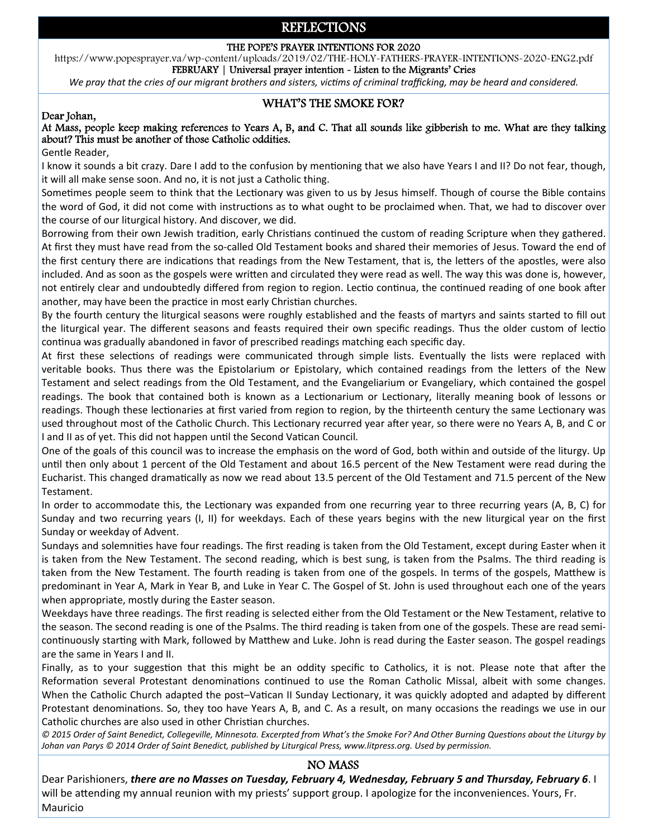# REFLECTIONS

#### THE POPE'S PRAYER INTENTIONS FOR 2020

https://www.popesprayer.va/wp-content/uploads/2019/02/THE-HOLY-FATHERS-PRAYER-INTENTIONS-2020-ENG2.pdf FEBRUARY | Universal prayer intention - Listen to the Migrants' Cries

*We pray that the cries of our migrant brothers and sisters, victims of criminal trafficking, may be heard and considered.* 

# WHAT'S THE SMOKE FOR?<br>
Dear Johan,

#### At Mass, people keep making references to Years A, B, and C. That all sounds like gibberish to me. What are they talking about? This must be another of those Catholic oddities.

Gentle Reader,

I know it sounds a bit crazy. Dare I add to the confusion by mentioning that we also have Years I and II? Do not fear, though, it will all make sense soon. And no, it is not just a Catholic thing.

Sometimes people seem to think that the Lectionary was given to us by Jesus himself. Though of course the Bible contains the word of God, it did not come with instructions as to what ought to be proclaimed when. That, we had to discover over the course of our liturgical history. And discover, we did.

Borrowing from their own Jewish tradition, early Christians continued the custom of reading Scripture when they gathered. At first they must have read from the so‐called Old Testament books and shared their memories of Jesus. Toward the end of the first century there are indications that readings from the New Testament, that is, the letters of the apostles, were also included. And as soon as the gospels were written and circulated they were read as well. The way this was done is, however, not entirely clear and undoubtedly differed from region to region. Lectio continua, the continued reading of one book after another, may have been the practice in most early Christian churches.

By the fourth century the liturgical seasons were roughly established and the feasts of martyrs and saints started to fill out the liturgical year. The different seasons and feasts required their own specific readings. Thus the older custom of lectio continua was gradually abandoned in favor of prescribed readings matching each specific day.

At first these selections of readings were communicated through simple lists. Eventually the lists were replaced with veritable books. Thus there was the Epistolarium or Epistolary, which contained readings from the letters of the New Testament and select readings from the Old Testament, and the Evangeliarium or Evangeliary, which contained the gospel readings. The book that contained both is known as a Lectionarium or Lectionary, literally meaning book of lessons or readings. Though these lectionaries at first varied from region to region, by the thirteenth century the same Lectionary was used throughout most of the Catholic Church. This Lectionary recurred year after year, so there were no Years A, B, and C or I and II as of yet. This did not happen until the Second Vatican Council.

One of the goals of this council was to increase the emphasis on the word of God, both within and outside of the liturgy. Up until then only about 1 percent of the Old Testament and about 16.5 percent of the New Testament were read during the Eucharist. This changed dramatically as now we read about 13.5 percent of the Old Testament and 71.5 percent of the New Testament.

In order to accommodate this, the Lectionary was expanded from one recurring year to three recurring years (A, B, C) for Sunday and two recurring years (I, II) for weekdays. Each of these years begins with the new liturgical year on the first Sunday or weekday of Advent.

Sundays and solemnities have four readings. The first reading is taken from the Old Testament, except during Easter when it is taken from the New Testament. The second reading, which is best sung, is taken from the Psalms. The third reading is taken from the New Testament. The fourth reading is taken from one of the gospels. In terms of the gospels, Matthew is predominant in Year A, Mark in Year B, and Luke in Year C. The Gospel of St. John is used throughout each one of the years when appropriate, mostly during the Easter season.

Weekdays have three readings. The first reading is selected either from the Old Testament or the New Testament, relative to the season. The second reading is one of the Psalms. The third reading is taken from one of the gospels. These are read semi‐ continuously starting with Mark, followed by Matthew and Luke. John is read during the Easter season. The gospel readings are the same in Years I and II.

Finally, as to your suggestion that this might be an oddity specific to Catholics, it is not. Please note that after the Reformation several Protestant denominations continued to use the Roman Catholic Missal, albeit with some changes. When the Catholic Church adapted the post–Vatican II Sunday Lectionary, it was quickly adopted and adapted by different Protestant denominations. So, they too have Years A, B, and C. As a result, on many occasions the readings we use in our Catholic churches are also used in other Christian churches.

 $O$  2015 Order of Saint Benedict, Collegeville, Minnesota. Excerpted from What's the Smoke For? And Other Burning Questions about the Liturgy by *Johan van Parys © 2014 Order of Saint Benedict, published by Liturgical Press, www.litpress.org. Used by permission.* 

#### NO MASS

Dear Parishioners, *there are no Masses on Tuesday, February 4, Wednesday, February 5 and Thursday, February 6*. I will be attending my annual reunion with my priests' support group. I apologize for the inconveniences. Yours, Fr. Mauricio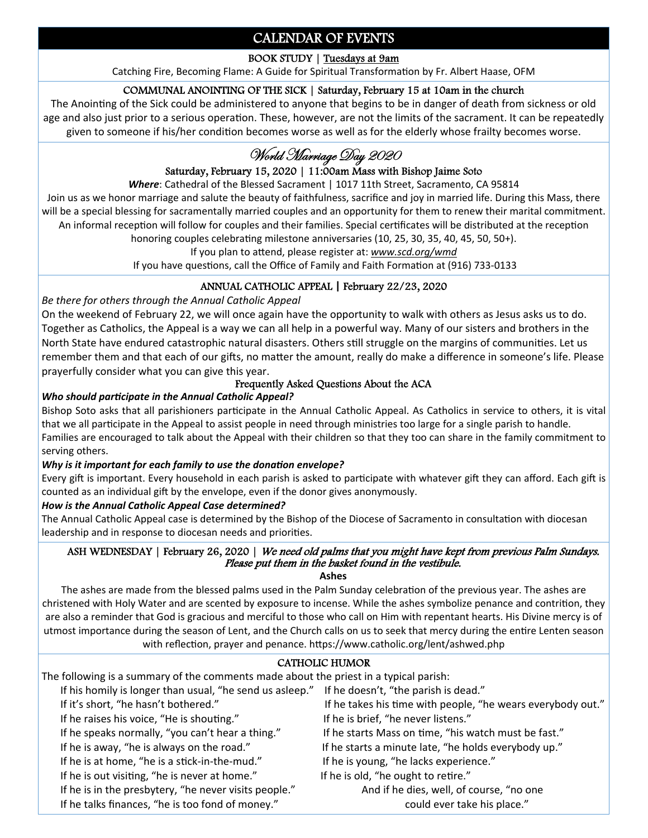# CALENDAR OF EVENTS

# BOOK STUDY | Tuesdays at 9am

Catching Fire, Becoming Flame: A Guide for Spiritual Transformation by Fr. Albert Haase, OFM

# COMMUNAL ANOINTING OF THE SICK | Saturday, February 15 at 10am in the church

The Anointing of the Sick could be administered to anyone that begins to be in danger of death from sickness or old age and also just prior to a serious operation. These, however, are not the limits of the sacrament. It can be repeatedly given to someone if his/her condition becomes worse as well as for the elderly whose frailty becomes worse.

# World Marriage Day 2020

# Saturday, February 15, 2020 | 11:00am Mass with Bishop Jaime Soto

*Where*: Cathedral of the Blessed Sacrament | 1017 11th Street, Sacramento, CA 95814

Join us as we honor marriage and salute the beauty of faithfulness, sacrifice and joy in married life. During this Mass, there will be a special blessing for sacramentally married couples and an opportunity for them to renew their marital commitment. An informal reception will follow for couples and their families. Special certificates will be distributed at the reception

honoring couples celebrating milestone anniversaries (10, 25, 30, 35, 40, 45, 50, 50+).

If you plan to attend, please register at: *www.scd.org/wmd* 

If you have questions, call the Office of Family and Faith Formation at (916) 733-0133

# ANNUAL CATHOLIC APPEAL **|** February 22/23, 2020

*Be there for others through the Annual Catholic Appeal* 

On the weekend of February 22, we will once again have the opportunity to walk with others as Jesus asks us to do. Together as Catholics, the Appeal is a way we can all help in a powerful way. Many of our sisters and brothers in the North State have endured catastrophic natural disasters. Others still struggle on the margins of communities. Let us remember them and that each of our gifts, no matter the amount, really do make a difference in someone's life. Please prayerfully consider what you can give this year.

## Frequently Asked Questions About the ACA

## *Who should parƟcipate in the Annual Catholic Appeal?*

Bishop Soto asks that all parishioners participate in the Annual Catholic Appeal. As Catholics in service to others, it is vital that we all participate in the Appeal to assist people in need through ministries too large for a single parish to handle. Families are encouraged to talk about the Appeal with their children so that they too can share in the family commitment to serving others.

## *Why is it important for each family to use the donation envelope?*

Every gift is important. Every household in each parish is asked to participate with whatever gift they can afford. Each gift is counted as an individual gift by the envelope, even if the donor gives anonymously.

## *How is the Annual Catholic Appeal Case determined?*

The Annual Catholic Appeal case is determined by the Bishop of the Diocese of Sacramento in consultation with diocesan leadership and in response to diocesan needs and priorities.

#### ASH WEDNESDAY | February 26, 2020 | We need old palms that you might have kept from previous Palm Sundays. Please put them in the basket found in the vestibule.

#### **Ashes**

The ashes are made from the blessed palms used in the Palm Sunday celebration of the previous year. The ashes are christened with Holy Water and are scented by exposure to incense. While the ashes symbolize penance and contrition, they are also a reminder that God is gracious and merciful to those who call on Him with repentant hearts. His Divine mercy is of utmost importance during the season of Lent, and the Church calls on us to seek that mercy during the entire Lenten season with reflection, prayer and penance. https://www.catholic.org/lent/ashwed.php

## CATHOLIC HUMOR

The following is a summary of the comments made about the priest in a typical parish: If his homily is longer than usual, "he send us asleep." If he doesn't, "the parish is dead." If it's short, "he hasn't bothered." If he takes his time with people, "he wears everybody out." If he raises his voice, "He is shouting." If he is brief, "he never listens." If he speaks normally, "you can't hear a thing." If he starts Mass on time, "his watch must be fast." If he is away, "he is always on the road." If he starts a minute late, "he holds everybody up." If he is at home, "he is a stick-in-the-mud." If he is young, "he lacks experience." If he is out visiting, "he is never at home." If he is old, "he ought to retire." If he is in the presbytery, "he never visits people." And if he dies, well, of course, "no one If he talks finances, "he is too fond of money." could ever take his place."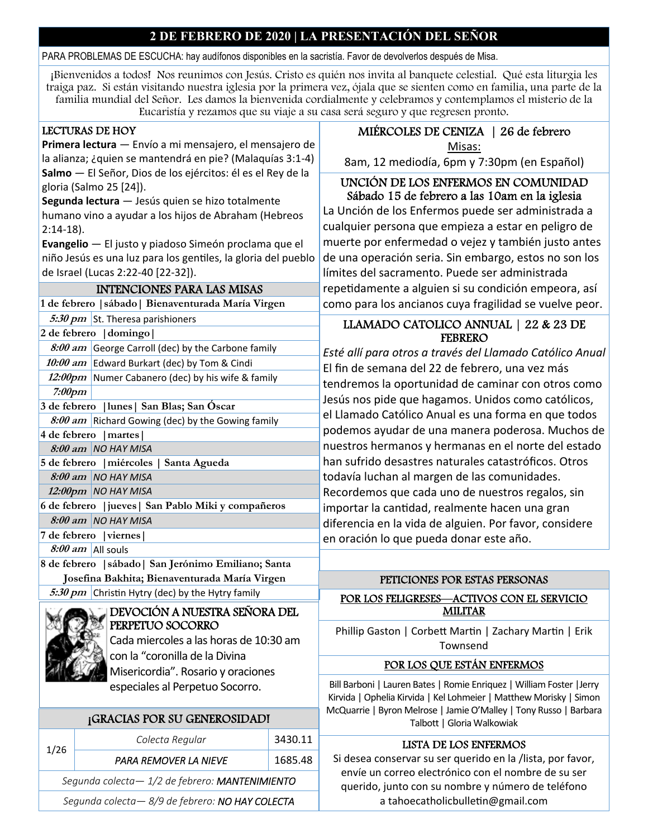# **2 DE FEBRERO DE 2020 | LA PRESENTACIÓN DEL SEÑOR**

#### PARA PROBLEMAS DE ESCUCHA: hay audífonos disponibles en la sacristía. Favor de devolverlos después de Misa.

¡Bienvenidos a todos! Nos reunimos con Jesús. Cristo es quién nos invita al banquete celestial. Qué esta liturgia les traiga paz. Si están visitando nuestra iglesia por la primera vez, ójala que se sienten como en familia, una parte de la familia mundial del Señor. Les damos la bienvenida cordialmente y celebramos y contemplamos el misterio de la Eucaristía y rezamos que su viaje a su casa será seguro y que regresen pronto.

## LECTURAS DE HOY

**Primera lectura** — Envío a mi mensajero, el mensajero de la alianza; ¿quien se mantendrá en pie? (Malaquías 3:1‐4) **Salmo** — El Señor, Dios de los ejércitos: él es el Rey de la gloria (Salmo 25 [24]).

**Segunda lectura** — Jesús quien se hizo totalmente humano vino a ayudar a los hijos de Abraham (Hebreos 2:14‐18).

**Evangelio** — El justo y piadoso Simeón proclama que el niño Jesús es una luz para los genƟles, la gloria del pueblo de Israel (Lucas 2:22‐40 [22‐32]).

#### INTENCIONES PARA LAS MISAS

**1 de febrero |sábado| Bienaventurada María Virgen** 

**5:30 pm** St. Theresa parishioners

| 2 de febrero   domingo                              |                                                    |  |
|-----------------------------------------------------|----------------------------------------------------|--|
|                                                     | 8:00 am George Carroll (dec) by the Carbone family |  |
|                                                     | 10:00 am Edward Burkart (dec) by Tom & Cindi       |  |
|                                                     | 12:00pm Numer Cabanero (dec) by his wife & family  |  |
| <i>7:00pm</i>                                       |                                                    |  |
| 3 de febrero   lunes   San Blas; San Oscar          |                                                    |  |
|                                                     | 8:00 am Richard Gowing (dec) by the Gowing family  |  |
| 4 de febrero   martes                               |                                                    |  |
|                                                     | $8:00$ am $NO$ HAY MISA                            |  |
| 5 de febrero   miércoles   Santa Agueda             |                                                    |  |
|                                                     | $8:00$ am $NO$ HAY MISA                            |  |
|                                                     | 12:00pm   NO HAY MISA                              |  |
| 6 de febrero   jueves   San Pablo Miki y compañeros |                                                    |  |
|                                                     | $8:00$ am $NO$ HAY MISA                            |  |

**7 de febrero |viernes|** 

**8:00 am** All souls

**8 de febrero |sábado| San Jerónimo Emiliano; Santa Josefina Bakhita; Bienaventurada María Virgen** 

**5:30 pm** Christin Hytry (dec) by the Hytry family



DEVOCIÓN A NUESTRA SEÑORA DEL PERPETUO SOCORRO Cada miercoles a las horas de 10:30 am

 especiales al Perpetuo Socorro. con la "coronilla de la Divina Misericordia". Rosario y oraciones

# ¡GRACIAS POR SU GENEROSIDAD!

| 1/26                                           | Colecta Regular       | 3430.11 |  |  |
|------------------------------------------------|-----------------------|---------|--|--|
|                                                | PARA REMOVER LA NIEVE | 1685.48 |  |  |
| Segunda colecta-1/2 de febrero: MANTENIMIENTO  |                       |         |  |  |
| Segunda colecta-8/9 de febrero: NO HAY COLECTA |                       |         |  |  |

# MIÉRCOLES DE CENIZA | 26 de febrero

Misas:

8am, 12 mediodía, 6pm y 7:30pm (en Español)

## UNCIÓN DE LOS ENFERMOS EN COMUNIDAD Sábado 15 de febrero a las 10am en la iglesia

La Unción de los Enfermos puede ser administrada a cualquier persona que empieza a estar en peligro de muerte por enfermedad o vejez y también justo antes de una operación seria. Sin embargo, estos no son los límites del sacramento. Puede ser administrada repetidamente a alguien si su condición empeora, así como para los ancianos cuya fragilidad se vuelve peor.

# LLAMADO CATOLICO ANNUAL | 22 & 23 DE FEBRERO

*Esté allí para otros a través del Llamado Católico Anual*  El fin de semana del 22 de febrero, una vez más tendremos la oportunidad de caminar con otros como Jesús nos pide que hagamos. Unidos como católicos, el Llamado Católico Anual es una forma en que todos podemos ayudar de una manera poderosa. Muchos de nuestros hermanos y hermanas en el norte del estado han sufrido desastres naturales catastróficos. Otros todavía luchan al margen de las comunidades. Recordemos que cada uno de nuestros regalos, sin importar la cantidad, realmente hacen una gran diferencia en la vida de alguien. Por favor, considere en oración lo que pueda donar este año.

# PETICIONES POR ESTAS PERSONAS

## POR LOS FELIGRESES—ACTIVOS CON EL SERVICIO MILITAR

Phillip Gaston | Corbett Martin | Zachary Martin | Erik Townsend

## POR LOS QUE ESTÁN ENFERMOS

Bill Barboni | Lauren Bates | Romie Enriquez | William Foster |Jerry Kirvida | Ophelia Kirvida | Kel Lohmeier | Matthew Morisky | Simon McQuarrie | Byron Melrose | Jamie O'Malley | Tony Russo | Barbara Talbott | Gloria Walkowiak

## LISTA DE LOS ENFERMOS

Si desea conservar su ser querido en la /lista, por favor, envíe un correo electrónico con el nombre de su ser querido, junto con su nombre y número de teléfono a tahoecatholicbulletin@gmail.com